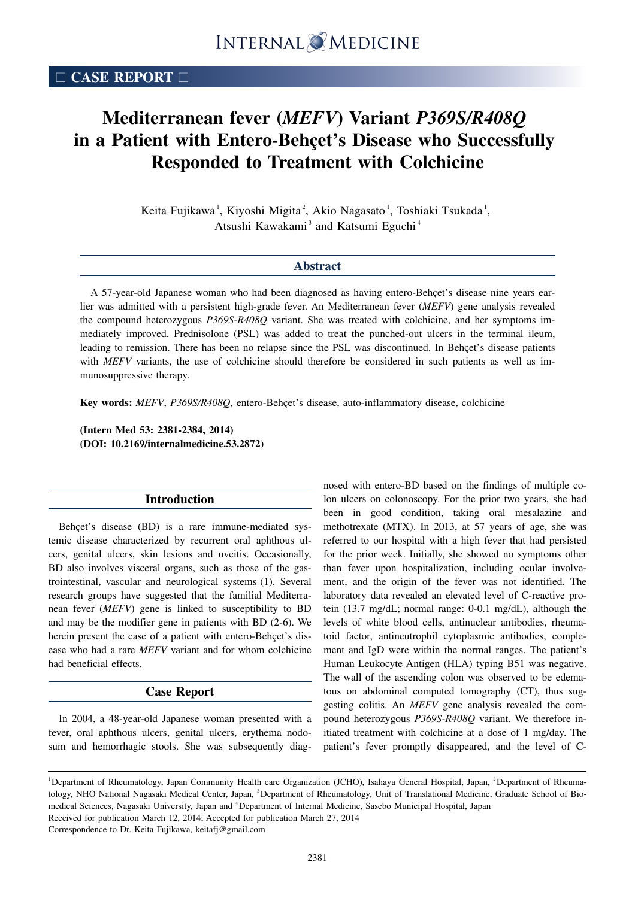# **Mediterranean fever (***MEFV***) Variant** *P369S/R408Q* **in a Patient with Entero-Behçet's Disease who Successfully Responded to Treatment with Colchicine**

Keita Fujikawa<sup>1</sup>, Kiyoshi Migita<sup>2</sup>, Akio Nagasato<sup>1</sup>, Toshiaki Tsukada<sup>1</sup>, Atsushi Kawakami<sup>3</sup> and Katsumi Eguchi<sup>4</sup>

## **Abstract**

A 57-year-old Japanese woman who had been diagnosed as having entero-Behçet's disease nine years earlier was admitted with a persistent high-grade fever. An Mediterranean fever (*MEFV*) gene analysis revealed the compound heterozygous *P369S-R408Q* variant. She was treated with colchicine, and her symptoms immediately improved. Prednisolone (PSL) was added to treat the punched-out ulcers in the terminal ileum, leading to remission. There has been no relapse since the PSL was discontinued. In Behçet's disease patients with *MEFV* variants, the use of colchicine should therefore be considered in such patients as well as immunosuppressive therapy.

**Key words:** *MEFV*, *P369S/R408Q*, entero-Behçet's disease, auto-inflammatory disease, colchicine

**(Intern Med 53: 2381-2384, 2014) (DOI: 10.2169/internalmedicine.53.2872)**

#### **Introduction**

Behçet's disease (BD) is a rare immune-mediated systemic disease characterized by recurrent oral aphthous ulcers, genital ulcers, skin lesions and uveitis. Occasionally, BD also involves visceral organs, such as those of the gastrointestinal, vascular and neurological systems (1). Several research groups have suggested that the familial Mediterranean fever (*MEFV*) gene is linked to susceptibility to BD and may be the modifier gene in patients with BD (2-6). We herein present the case of a patient with entero-Behçet's disease who had a rare *MEFV* variant and for whom colchicine had beneficial effects.

## **Case Report**

In 2004, a 48-year-old Japanese woman presented with a fever, oral aphthous ulcers, genital ulcers, erythema nodosum and hemorrhagic stools. She was subsequently diagnosed with entero-BD based on the findings of multiple colon ulcers on colonoscopy. For the prior two years, she had been in good condition, taking oral mesalazine and methotrexate (MTX). In 2013, at 57 years of age, she was referred to our hospital with a high fever that had persisted for the prior week. Initially, she showed no symptoms other than fever upon hospitalization, including ocular involvement, and the origin of the fever was not identified. The laboratory data revealed an elevated level of C-reactive protein (13.7 mg/dL; normal range: 0-0.1 mg/dL), although the levels of white blood cells, antinuclear antibodies, rheumatoid factor, antineutrophil cytoplasmic antibodies, complement and IgD were within the normal ranges. The patient's Human Leukocyte Antigen (HLA) typing B51 was negative. The wall of the ascending colon was observed to be edematous on abdominal computed tomography (CT), thus suggesting colitis. An *MEFV* gene analysis revealed the compound heterozygous *P369S-R408Q* variant. We therefore initiated treatment with colchicine at a dose of 1 mg/day. The patient's fever promptly disappeared, and the level of C-

Correspondence to Dr. Keita Fujikawa, keitafj@gmail.com

<sup>&</sup>lt;sup>1</sup>Department of Rheumatology, Japan Community Health care Organization (JCHO), Isahaya General Hospital, Japan, <sup>2</sup>Department of Rheumatology, NHO National Nagasaki Medical Center, Japan, <sup>3</sup>Department of Rheumatology, Unit of Translational Medicine, Graduate School of Biomedical Sciences, Nagasaki University, Japan and <sup>4</sup>Department of Internal Medicine, Sasebo Municipal Hospital, Japan Received for publication March 12, 2014; Accepted for publication March 27, 2014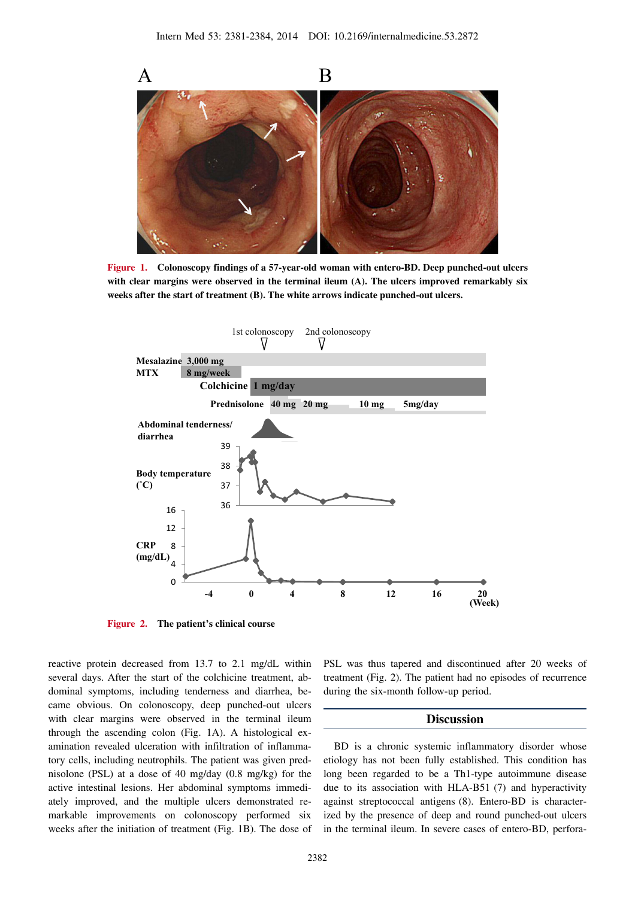

**Figure 1. Colonoscopy findings of a 57-year-old woman with entero-BD. Deep punched-out ulcers with clear margins were observed in the terminal ileum (A). The ulcers improved remarkably six weeks after the start of treatment (B). The white arrows indicate punched-out ulcers.**



**Figure 2. The patient's clinical course**

reactive protein decreased from 13.7 to 2.1 mg/dL within several days. After the start of the colchicine treatment, abdominal symptoms, including tenderness and diarrhea, became obvious. On colonoscopy, deep punched-out ulcers with clear margins were observed in the terminal ileum through the ascending colon (Fig. 1A). A histological examination revealed ulceration with infiltration of inflammatory cells, including neutrophils. The patient was given prednisolone (PSL) at a dose of 40 mg/day (0.8 mg/kg) for the active intestinal lesions. Her abdominal symptoms immediately improved, and the multiple ulcers demonstrated remarkable improvements on colonoscopy performed six weeks after the initiation of treatment (Fig. 1B). The dose of PSL was thus tapered and discontinued after 20 weeks of treatment (Fig. 2). The patient had no episodes of recurrence during the six-month follow-up period.

## **Discussion**

BD is a chronic systemic inflammatory disorder whose etiology has not been fully established. This condition has long been regarded to be a Th1-type autoimmune disease due to its association with HLA-B51 (7) and hyperactivity against streptococcal antigens (8). Entero-BD is characterized by the presence of deep and round punched-out ulcers in the terminal ileum. In severe cases of entero-BD, perfora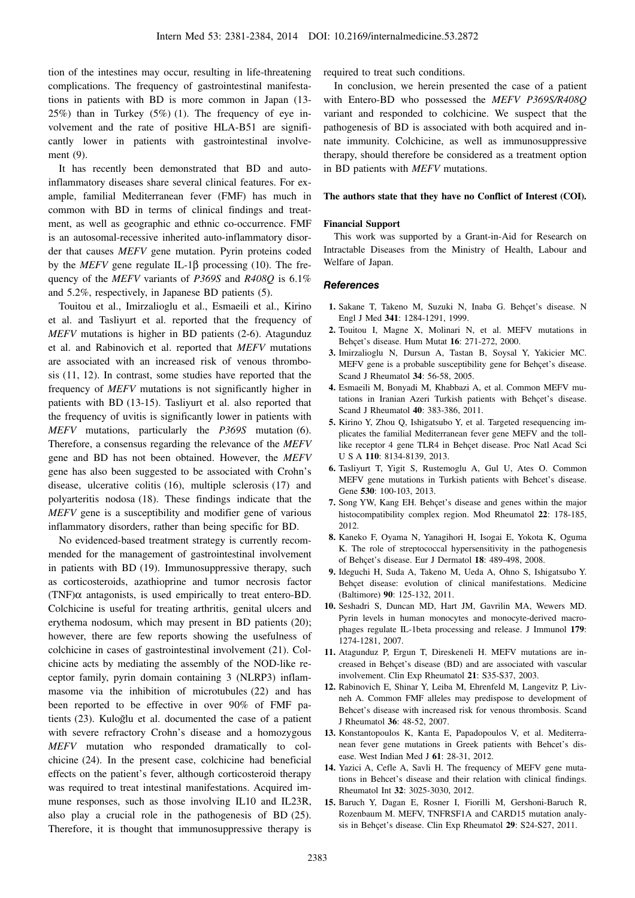tion of the intestines may occur, resulting in life-threatening complications. The frequency of gastrointestinal manifestations in patients with BD is more common in Japan (13- 25%) than in Turkey (5%) (1). The frequency of eye involvement and the rate of positive HLA-B51 are significantly lower in patients with gastrointestinal involvement (9).

It has recently been demonstrated that BD and autoinflammatory diseases share several clinical features. For example, familial Mediterranean fever (FMF) has much in common with BD in terms of clinical findings and treatment, as well as geographic and ethnic co-occurrence. FMF is an autosomal-recessive inherited auto-inflammatory disorder that causes *MEFV* gene mutation. Pyrin proteins coded by the *MEFV* gene regulate IL-1β processing (10). The frequency of the *MEFV* variants of *P369S* and *R408Q* is 6.1% and 5.2%, respectively, in Japanese BD patients (5).

Touitou et al., Imirzalioglu et al., Esmaeili et al., Kirino et al. and Tasliyurt et al. reported that the frequency of *MEFV* mutations is higher in BD patients (2-6). Atagunduz et al. and Rabinovich et al. reported that *MEFV* mutations are associated with an increased risk of venous thrombosis (11, 12). In contrast, some studies have reported that the frequency of *MEFV* mutations is not significantly higher in patients with BD (13-15). Tasliyurt et al. also reported that the frequency of uvitis is significantly lower in patients with *MEFV* mutations, particularly the *P369S* mutation (6). Therefore, a consensus regarding the relevance of the *MEFV* gene and BD has not been obtained. However, the *MEFV* gene has also been suggested to be associated with Crohn's disease, ulcerative colitis (16), multiple sclerosis (17) and polyarteritis nodosa (18). These findings indicate that the *MEFV* gene is a susceptibility and modifier gene of various inflammatory disorders, rather than being specific for BD.

No evidenced-based treatment strategy is currently recommended for the management of gastrointestinal involvement in patients with BD (19). Immunosuppressive therapy, such as corticosteroids, azathioprine and tumor necrosis factor (TNF) $\alpha$  antagonists, is used empirically to treat entero-BD. Colchicine is useful for treating arthritis, genital ulcers and erythema nodosum, which may present in BD patients (20); however, there are few reports showing the usefulness of colchicine in cases of gastrointestinal involvement (21). Colchicine acts by mediating the assembly of the NOD-like receptor family, pyrin domain containing 3 (NLRP3) inflammasome via the inhibition of microtubules (22) and has been reported to be effective in over 90% of FMF patients (23). Kuloğlu et al. documented the case of a patient with severe refractory Crohn's disease and a homozygous *MEFV* mutation who responded dramatically to colchicine (24). In the present case, colchicine had beneficial effects on the patient's fever, although corticosteroid therapy was required to treat intestinal manifestations. Acquired immune responses, such as those involving IL10 and IL23R, also play a crucial role in the pathogenesis of BD (25). Therefore, it is thought that immunosuppressive therapy is

required to treat such conditions.

In conclusion, we herein presented the case of a patient with Entero-BD who possessed the *MEFV P369S/R408Q* variant and responded to colchicine. We suspect that the pathogenesis of BD is associated with both acquired and innate immunity. Colchicine, as well as immunosuppressive therapy, should therefore be considered as a treatment option in BD patients with *MEFV* mutations.

#### **The authors state that they have no Conflict of Interest (COI).**

#### **Financial Support**

This work was supported by a Grant-in-Aid for Research on Intractable Diseases from the Ministry of Health, Labour and Welfare of Japan.

#### **References**

- **1.** Sakane T, Takeno M, Suzuki N, Inaba G. Behçet's disease. N Engl J Med **341**: 1284-1291, 1999.
- **2.** Touitou I, Magne X, Molinari N, et al. MEFV mutations in Behçet's disease. Hum Mutat **16**: 271-272, 2000.
- **3.** Imirzalioglu N, Dursun A, Tastan B, Soysal Y, Yakicier MC. MEFV gene is a probable susceptibility gene for Behçet's disease. Scand J Rheumatol **34**: 56-58, 2005.
- **4.** Esmaeili M, Bonyadi M, Khabbazi A, et al. Common MEFV mutations in Iranian Azeri Turkish patients with Behçet's disease. Scand J Rheumatol **40**: 383-386, 2011.
- **5.** Kirino Y, Zhou Q, Ishigatsubo Y, et al. Targeted resequencing implicates the familial Mediterranean fever gene MEFV and the tolllike receptor 4 gene TLR4 in Behçet disease. Proc Natl Acad Sci USA **110**: 8134-8139, 2013.
- **6.** Tasliyurt T, Yigit S, Rustemoglu A, Gul U, Ates O. Common MEFV gene mutations in Turkish patients with Behcet's disease. Gene **530**: 100-103, 2013.
- **7.** Song YW, Kang EH. Behçet's disease and genes within the major histocompatibility complex region. Mod Rheumatol **22**: 178-185, 2012.
- **8.** Kaneko F, Oyama N, Yanagihori H, Isogai E, Yokota K, Oguma K. The role of streptococcal hypersensitivity in the pathogenesis of Behçet's disease. Eur J Dermatol **18**: 489-498, 2008.
- **9.** Ideguchi H, Suda A, Takeno M, Ueda A, Ohno S, Ishigatsubo Y. Behçet disease: evolution of clinical manifestations. Medicine (Baltimore) **90**: 125-132, 2011.
- **10.** Seshadri S, Duncan MD, Hart JM, Gavrilin MA, Wewers MD. Pyrin levels in human monocytes and monocyte-derived macrophages regulate IL-1beta processing and release. J Immunol **179**: 1274-1281, 2007.
- **11.** Atagunduz P, Ergun T, Direskeneli H. MEFV mutations are increased in Behçet's disease (BD) and are associated with vascular involvement. Clin Exp Rheumatol **21**: S35-S37, 2003.
- **12.** Rabinovich E, Shinar Y, Leiba M, Ehrenfeld M, Langevitz P, Livneh A. Common FMF alleles may predispose to development of Behcet's disease with increased risk for venous thrombosis. Scand J Rheumatol **36**: 48-52, 2007.
- **13.** Konstantopoulos K, Kanta E, Papadopoulos V, et al. Mediterranean fever gene mutations in Greek patients with Behcet's disease. West Indian Med J **61**: 28-31, 2012.
- **14.** Yazici A, Cefle A, Savli H. The frequency of MEFV gene mutations in Behcet's disease and their relation with clinical findings. Rheumatol Int **32**: 3025-3030, 2012.
- **15.** Baruch Y, Dagan E, Rosner I, Fiorilli M, Gershoni-Baruch R, Rozenbaum M. MEFV, TNFRSF1A and CARD15 mutation analysis in Behçet's disease. Clin Exp Rheumatol **29**: S24-S27, 2011.